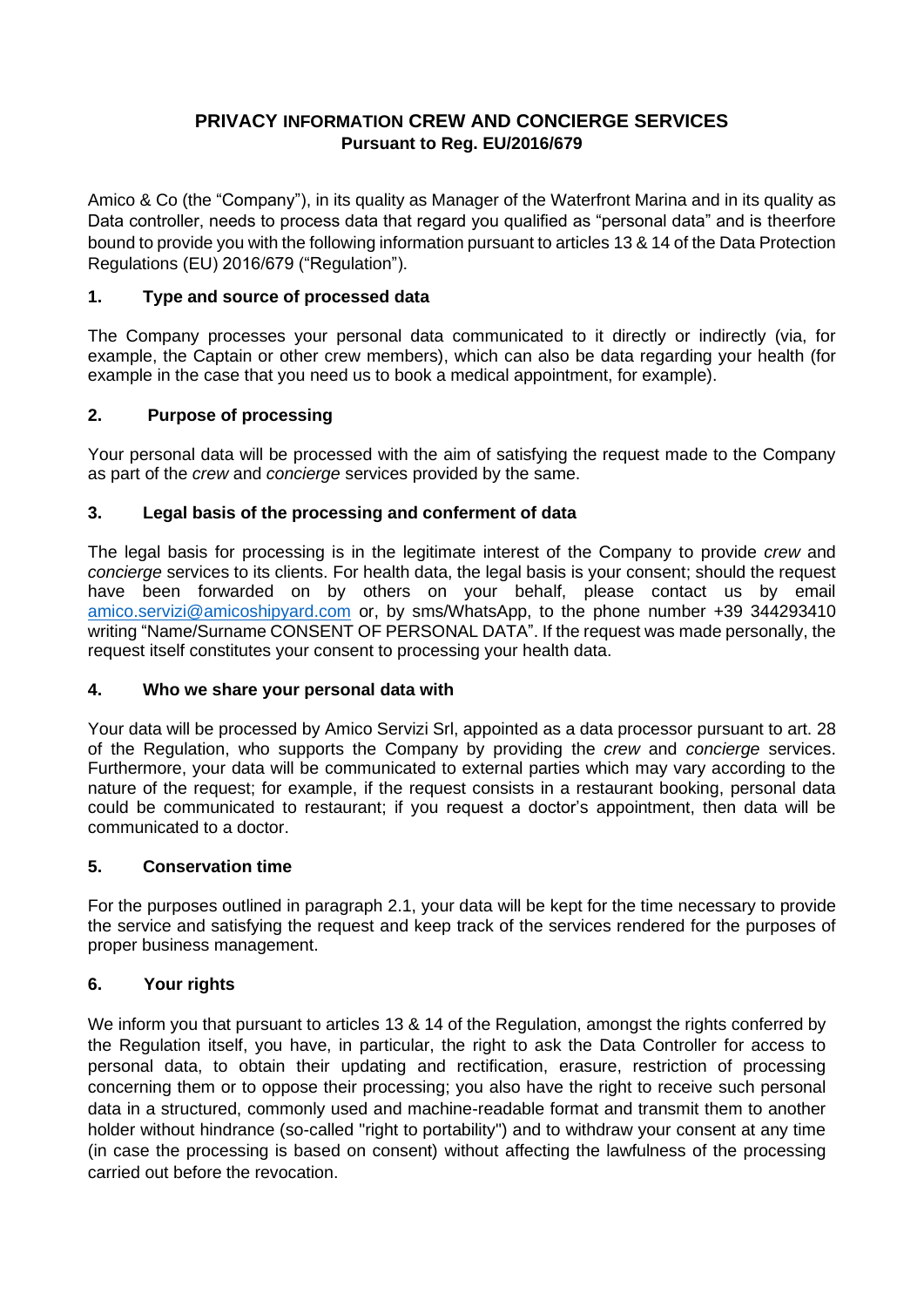# **PRIVACY INFORMATION CREW AND CONCIERGE SERVICES Pursuant to Reg. EU/2016/679**

Amico & Co (the "Company"), in its quality as Manager of the Waterfront Marina and in its quality as Data controller, needs to process data that regard you qualified as "personal data" and is theerfore bound to provide you with the following information pursuant to articles 13 & 14 of the Data Protection Regulations (EU) 2016/679 ("Regulation").

## **1. Type and source of processed data**

The Company processes your personal data communicated to it directly or indirectly (via, for example, the Captain or other crew members), which can also be data regarding your health (for example in the case that you need us to book a medical appointment, for example).

## **2. Purpose of processing**

Your personal data will be processed with the aim of satisfying the request made to the Company as part of the *crew* and *concierge* services provided by the same.

## **3. Legal basis of the processing and conferment of data**

The legal basis for processing is in the legitimate interest of the Company to provide *crew* and *concierge* services to its clients. For health data, the legal basis is your consent; should the request have been forwarded on by others on your behalf, please contact us by email [amico.servizi@amicoshipyard.com](mailto:amico.servizi@amicoshipyard.com) or, by sms/WhatsApp, to the phone number +39 344293410 writing "Name/Surname CONSENT OF PERSONAL DATA". If the request was made personally, the request itself constitutes your consent to processing your health data.

#### **4. Who we share your personal data with**

Your data will be processed by Amico Servizi Srl, appointed as a data processor pursuant to art. 28 of the Regulation, who supports the Company by providing the *crew* and *concierge* services. Furthermore, your data will be communicated to external parties which may vary according to the nature of the request; for example, if the request consists in a restaurant booking, personal data could be communicated to restaurant; if you request a doctor's appointment, then data will be communicated to a doctor.

#### **5. Conservation time**

For the purposes outlined in paragraph 2.1, your data will be kept for the time necessary to provide the service and satisfying the request and keep track of the services rendered for the purposes of proper business management.

### **6. Your rights**

We inform you that pursuant to articles 13 & 14 of the Regulation, amongst the rights conferred by the Regulation itself, you have, in particular, the right to ask the Data Controller for access to personal data, to obtain their updating and rectification, erasure, restriction of processing concerning them or to oppose their processing; you also have the right to receive such personal data in a structured, commonly used and machine-readable format and transmit them to another holder without hindrance (so-called "right to portability") and to withdraw your consent at any time (in case the processing is based on consent) without affecting the lawfulness of the processing carried out before the revocation.